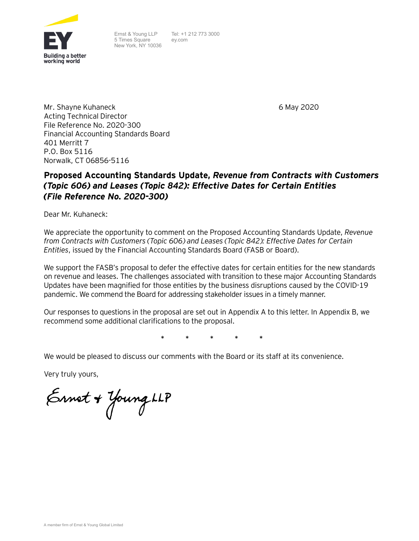

Ernst & Young LLP 5 Times Square New York, NY 10036 Tel: +1 212 773 3000 ey.com

6 May 2020

Mr. Shayne Kuhaneck Acting Technical Director File Reference No. 2020-300 Financial Accounting Standards Board 401 Merritt 7 P.O. Box 5116 Norwalk, CT 06856-5116

# **Proposed Accounting Standards Update,** *Revenue from Contracts with Customers (Topic 606) and Leases (Topic 842): Effective Dates for Certain Entities (File Reference No. 2020-300)*

Dear Mr. Kuhaneck:

We appreciate the opportunity to comment on the Proposed Accounting Standards Update, *Revenue from Contracts with Customers (Topic 606) and Leases (Topic 842): Effective Dates for Certain Entities*, issued by the Financial Accounting Standards Board (FASB or Board).

We support the FASB's proposal to defer the effective dates for certain entities for the new standards on revenue and leases. The challenges associated with transition to these major Accounting Standards Updates have been magnified for those entities by the business disruptions caused by the COVID-19 pandemic. We commend the Board for addressing stakeholder issues in a timely manner.

Our responses to questions in the proposal are set out in Appendix A to this letter. In Appendix B, we recommend some additional clarifications to the proposal.

**\* \* \* \* \***

We would be pleased to discuss our comments with the Board or its staff at its convenience.

Very truly yours,

Ernet + Young LLP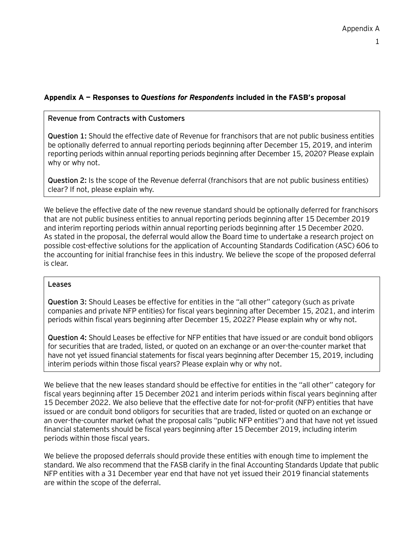# **Appendix A — Responses to** *Questions for Respondents* **included in the FASB's proposal**

#### **Revenue from Contracts with Customers**

**Question 1:** Should the effective date of Revenue for franchisors that are not public business entities be optionally deferred to annual reporting periods beginning after December 15, 2019, and interim reporting periods within annual reporting periods beginning after December 15, 2020? Please explain why or why not.

**Question 2:** Is the scope of the Revenue deferral (franchisors that are not public business entities) clear? If not, please explain why.

We believe the effective date of the new revenue standard should be optionally deferred for franchisors that are not public business entities to annual reporting periods beginning after 15 December 2019 and interim reporting periods within annual reporting periods beginning after 15 December 2020. As stated in the proposal, the deferral would allow the Board time to undertake a research project on possible cost-effective solutions for the application of Accounting Standards Codification (ASC) 606 to the accounting for initial franchise fees in this industry. We believe the scope of the proposed deferral is clear.

#### **Leases**

**Question 3:** Should Leases be effective for entities in the "all other" category (such as private companies and private NFP entities) for fiscal years beginning after December 15, 2021, and interim periods within fiscal years beginning after December 15, 2022? Please explain why or why not.

**Question 4:** Should Leases be effective for NFP entities that have issued or are conduit bond obligors for securities that are traded, listed, or quoted on an exchange or an over-the-counter market that have not yet issued financial statements for fiscal years beginning after December 15, 2019, including interim periods within those fiscal years? Please explain why or why not.

We believe that the new leases standard should be effective for entities in the "all other" category for fiscal years beginning after 15 December 2021 and interim periods within fiscal years beginning after 15 December 2022. We also believe that the effective date for not-for-profit (NFP) entities that have issued or are conduit bond obligors for securities that are traded, listed or quoted on an exchange or an over-the-counter market (what the proposal calls "public NFP entities") and that have not yet issued financial statements should be fiscal years beginning after 15 December 2019, including interim periods within those fiscal years.

We believe the proposed deferrals should provide these entities with enough time to implement the standard. We also recommend that the FASB clarify in the final Accounting Standards Update that public NFP entities with a 31 December year end that have not yet issued their 2019 financial statements are within the scope of the deferral.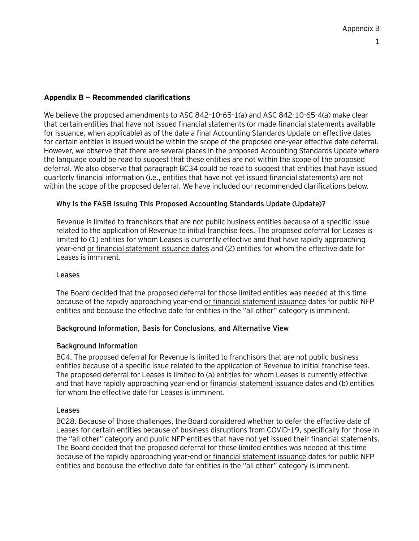## **Appendix B — Recommended clarifications**

We believe the proposed amendments to ASC 842-10-65-1(a) and ASC 842-10-65-4(a) make clear that certain entities that have not issued financial statements (or made financial statements available for issuance, when applicable) as of the date a final Accounting Standards Update on effective dates for certain entities is issued would be within the scope of the proposed one-year effective date deferral. However, we observe that there are several places in the proposed Accounting Standards Update where the language could be read to suggest that these entities are not within the scope of the proposed deferral. We also observe that paragraph BC34 could be read to suggest that entities that have issued quarterly financial information (i.e., entities that have not yet issued financial statements) are not within the scope of the proposed deferral. We have included our recommended clarifications below.

## **Why Is the FASB Issuing This Proposed Accounting Standards Update (Update)?**

Revenue is limited to franchisors that are not public business entities because of a specific issue related to the application of Revenue to initial franchise fees. The proposed deferral for Leases is limited to (1) entities for whom Leases is currently effective and that have rapidly approaching year-end or financial statement issuance dates and (2) entities for whom the effective date for Leases is imminent.

## **Leases**

The Board decided that the proposed deferral for those limited entities was needed at this time because of the rapidly approaching year-end or financial statement issuance dates for public NFP entities and because the effective date for entities in the "all other" category is imminent.

## **Background Information, Basis for Conclusions, and Alternative View**

## **Background Information**

BC4. The proposed deferral for Revenue is limited to franchisors that are not public business entities because of a specific issue related to the application of Revenue to initial franchise fees. The proposed deferral for Leases is limited to (a) entities for whom Leases is currently effective and that have rapidly approaching year-end or financial statement issuance dates and (b) entities for whom the effective date for Leases is imminent.

## **Leases**

BC28. Because of those challenges, the Board considered whether to defer the effective date of Leases for certain entities because of business disruptions from COVID-19, specifically for those in the "all other" category and public NFP entities that have not yet issued their financial statements. The Board decided that the proposed deferral for these limited entities was needed at this time because of the rapidly approaching year-end or financial statement issuance dates for public NFP entities and because the effective date for entities in the "all other" category is imminent.